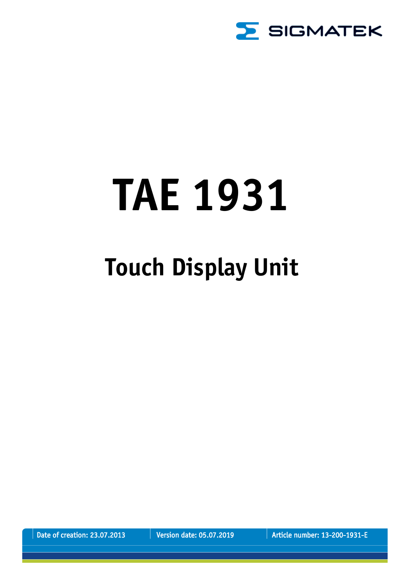

# **TAE 1931**

## **Touch Display Unit**

Date of creation: 23.07.2013 Version date: 05.07.2019 | Article number: 13-200-1931-E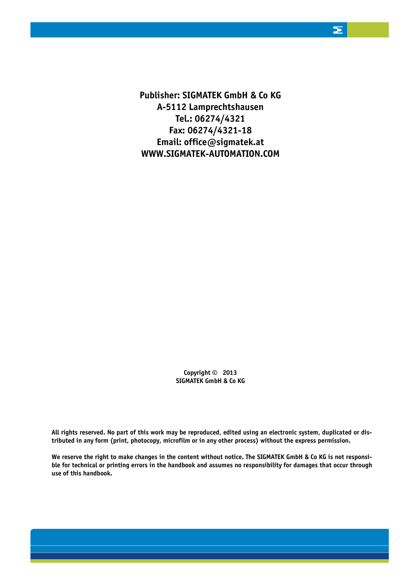**Publisher: SIGMATEK GmbH & Co KG A-5112 Lamprechtshausen Tel.: 06274/4321 Fax: 06274/4321-18 Email: office@sigmatek.at WWW.SIGMATEK-AUTOMATION.COM**

> **Copyright © 2013 SIGMATEK GmbH & Co KG**

**All rights reserved. No part of this work may be reproduced, edited using an electronic system, duplicated or distributed in any form (print, photocopy, microfilm or in any other process) without the express permission.**

**We reserve the right to make changes in the content without notice. The SIGMATEK GmbH & Co KG is not responsible for technical or printing errors in the handbook and assumes no responsibility for damages that occur through use of this handbook.**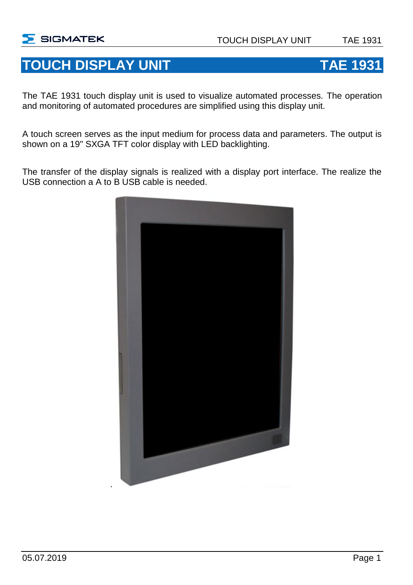### **TOUCH DISPLAY UNIT TAE 1931**

The TAE 1931 touch display unit is used to visualize automated processes. The operation and monitoring of automated procedures are simplified using this display unit.

A touch screen serves as the input medium for process data and parameters. The output is shown on a 19" SXGA TFT color display with LED backlighting.

The transfer of the display signals is realized with a display port interface. The realize the USB connection a A to B USB cable is needed.

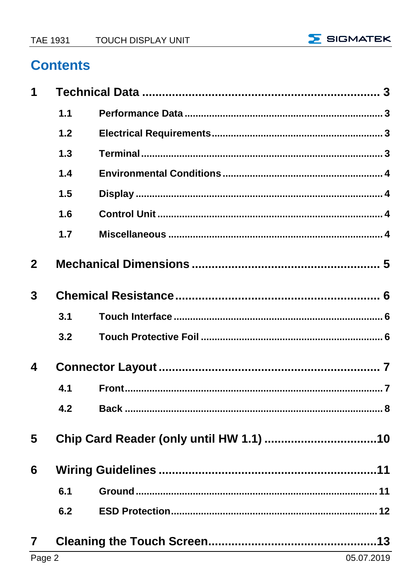

#### **Contents**

| 1              |     |  |  |
|----------------|-----|--|--|
|                | 1.1 |  |  |
|                | 1.2 |  |  |
|                | 1.3 |  |  |
|                | 1.4 |  |  |
|                | 1.5 |  |  |
|                | 1.6 |  |  |
|                | 1.7 |  |  |
| $\overline{2}$ |     |  |  |
| 3              |     |  |  |
|                | 3.1 |  |  |
|                | 3.2 |  |  |
| 4              |     |  |  |
|                | 4.1 |  |  |
|                | 4.2 |  |  |
| 5              |     |  |  |
| 6              |     |  |  |
|                | 6.1 |  |  |
|                | 6.2 |  |  |
| $\overline{7}$ |     |  |  |
|                |     |  |  |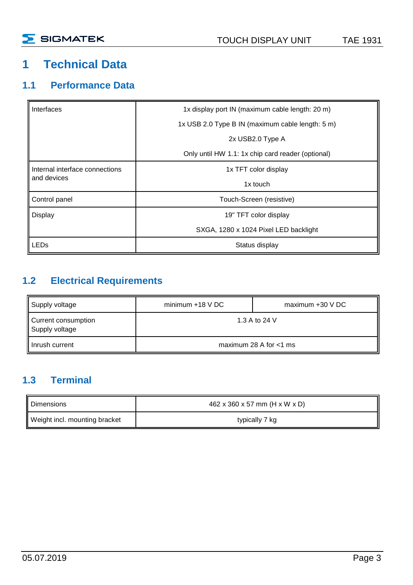#### <span id="page-4-0"></span>**1 Technical Data**

#### <span id="page-4-1"></span>**1.1 Performance Data**

| Interfaces                     | 1x display port IN (maximum cable length: 20 m)   |  |
|--------------------------------|---------------------------------------------------|--|
|                                | 1x USB 2.0 Type B IN (maximum cable length: 5 m)  |  |
|                                | 2x USB2.0 Type A                                  |  |
|                                | Only until HW 1.1: 1x chip card reader (optional) |  |
| Internal interface connections | 1x TFT color display                              |  |
| and devices                    | 1x touch                                          |  |
| Control panel                  | Touch-Screen (resistive)                          |  |
| Display                        | 19" TFT color display                             |  |
|                                | SXGA, 1280 x 1024 Pixel LED backlight             |  |
| LEDs                           | Status display                                    |  |

#### <span id="page-4-2"></span>**1.2 Electrical Requirements**

| Supply voltage                                         | minimum $+18$ V DC | $maximum +30 VDC$         |
|--------------------------------------------------------|--------------------|---------------------------|
| 1.3 A to 24 V<br>Current consumption<br>Supply voltage |                    |                           |
| Inrush current                                         |                    | maximum 28 A for $<$ 1 ms |

#### <span id="page-4-3"></span>**1.3 Terminal**

| Dimensions                    | 462 x 360 x 57 mm (H x W x D) |
|-------------------------------|-------------------------------|
| Weight incl. mounting bracket | typically 7 kg                |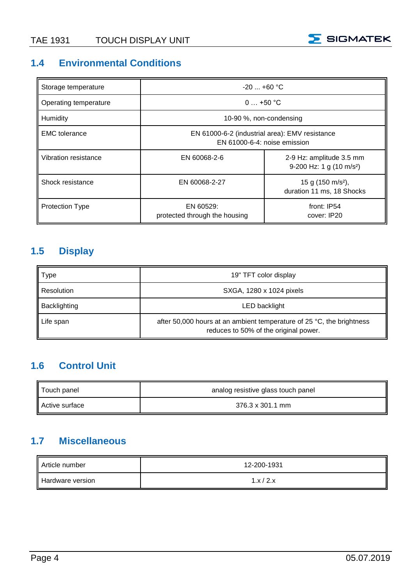

#### <span id="page-5-0"></span>**1.4 Environmental Conditions**

| Storage temperature    | $-20$ $+60$ °C                                                                 |                                                                |
|------------------------|--------------------------------------------------------------------------------|----------------------------------------------------------------|
| Operating temperature  | $0+50$ °C                                                                      |                                                                |
| Humidity               | 10-90 %, non-condensing                                                        |                                                                |
| <b>EMC</b> tolerance   | EN 61000-6-2 (industrial area): EMV resistance<br>EN 61000-6-4: noise emission |                                                                |
| Vibration resistance   | EN 60068-2-6                                                                   | 2-9 Hz: amplitude 3.5 mm<br>9-200 Hz: 1 g $(10 \text{ m/s}^2)$ |
| Shock resistance       | EN 60068-2-27                                                                  | 15 g (150 m/s <sup>2</sup> ),<br>duration 11 ms, 18 Shocks     |
| <b>Protection Type</b> | EN 60529:<br>protected through the housing                                     | front: IP54<br>cover: IP20                                     |

#### <span id="page-5-1"></span>**1.5 Display**

| Type         | 19" TFT color display                                                                                                    |
|--------------|--------------------------------------------------------------------------------------------------------------------------|
| Resolution   | SXGA, 1280 x 1024 pixels                                                                                                 |
| Backlighting | LED backlight                                                                                                            |
| Life span    | after 50,000 hours at an ambient temperature of 25 $^{\circ}$ C, the brightness<br>reduces to 50% of the original power. |

#### <span id="page-5-2"></span>**1.6 Control Unit**

| Touch panel    | analog resistive glass touch panel |
|----------------|------------------------------------|
| Active surface | 376.3 x 301.1 mm                   |

#### <span id="page-5-3"></span>**1.7 Miscellaneous**

| Article number   | 12-200-1931 |
|------------------|-------------|
| Hardware version | 1.x/2.x     |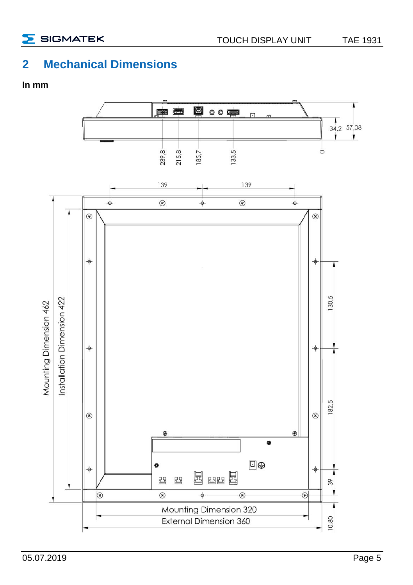

#### <span id="page-6-0"></span>**2 Mechanical Dimensions**

#### **In mm**

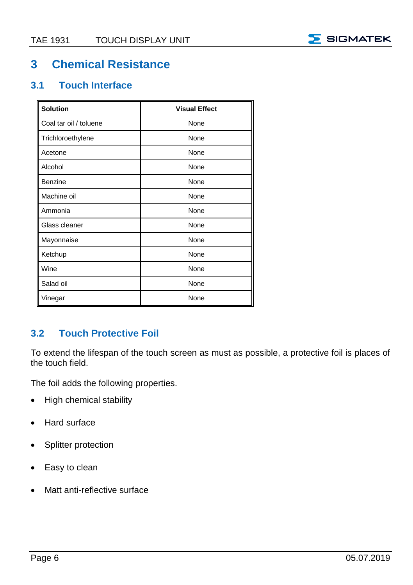

#### <span id="page-7-0"></span>**3 Chemical Resistance**

#### <span id="page-7-1"></span>**3.1 Touch Interface**

| <b>Solution</b>        | <b>Visual Effect</b> |
|------------------------|----------------------|
| Coal tar oil / toluene | None                 |
| Trichloroethylene      | None                 |
| Acetone                | None                 |
| Alcohol                | None                 |
| Benzine                | None                 |
| Machine oil            | None                 |
| Ammonia                | None                 |
| Glass cleaner          | None                 |
| Mayonnaise             | None                 |
| Ketchup                | None                 |
| Wine                   | None                 |
| Salad oil              | None                 |
| Vinegar                | None                 |

#### <span id="page-7-2"></span>**3.2 Touch Protective Foil**

To extend the lifespan of the touch screen as must as possible, a protective foil is places of the touch field.

The foil adds the following properties.

- High chemical stability
- Hard surface
- Splitter protection
- Easy to clean
- Matt anti-reflective surface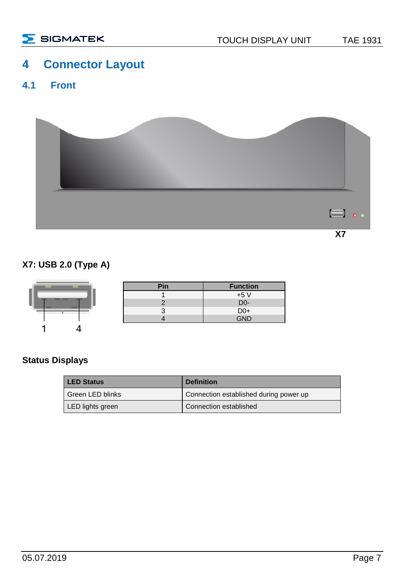#### <span id="page-8-0"></span>**4 Connector Layout**

#### <span id="page-8-1"></span>**4.1 Front**



#### **X7: USB 2.0 (Type A)**

|                        | Pin | <b>Function</b>         |
|------------------------|-----|-------------------------|
| <b>THE R. P. LEWIS</b> |     | $+5V$                   |
|                        |     | D <sub>0</sub> -<br>___ |
|                        |     | $D0+$                   |
|                        |     | GND                     |
|                        |     |                         |

#### **Status Displays**

ı

| <b>LED Status</b> | <b>Definition</b>                      |
|-------------------|----------------------------------------|
| Green LED blinks  | Connection established during power up |
| LED lights green  | Connection established                 |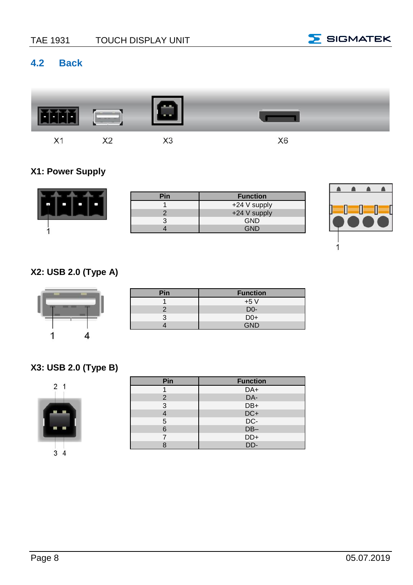

#### <span id="page-9-0"></span>**4.2 Back**



#### **X1: Power Supply**

| Pin | <b>Function</b> |
|-----|-----------------|
|     | +24 V supply    |
|     | +24 V supply    |
|     | <b>GND</b>      |
|     | GND             |
|     |                 |



#### **X2: USB 2.0 (Type A)**

| ٠ | ٠ |  |
|---|---|--|
|   |   |  |

| Pin | <b>Function</b>  |
|-----|------------------|
|     | $+5V$            |
|     | D <sub>0</sub> - |
|     | $D0+$            |
|     | GND              |

#### **X3: USB 2.0 (Type B)**



| Pin            | <b>Function</b> |
|----------------|-----------------|
|                | DA+             |
| $\overline{2}$ | DA-             |
| 3              | DB+             |
|                | $DC+$           |
| 5              | DC-             |
| 6              | $DB-$           |
|                | DD+             |
|                | DD-             |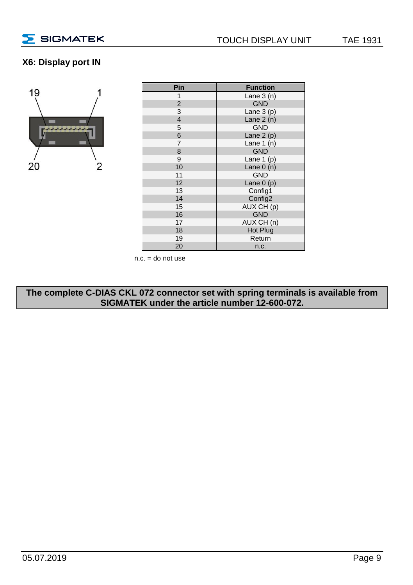

#### **X6: Display port IN**



| Pin            | <b>Function</b> |
|----------------|-----------------|
| 1              | Lane $3(n)$     |
| $\overline{2}$ | <b>GND</b>      |
| 3              | Lane $3(p)$     |
| $\overline{4}$ | Lane $2(n)$     |
| 5              | <b>GND</b>      |
| 6              | Lane $2(p)$     |
| 7              | Lane $1(n)$     |
| 8              | <b>GND</b>      |
| 9              | Lane $1(p)$     |
| 10             | Lane $0(n)$     |
| 11             | <b>GND</b>      |
| 12             | Lane $0(p)$     |
| 13             | Config1         |
| 14             | Config2         |
| 15             | AUX CH (p)      |
| 16             | <b>GND</b>      |
| 17             | AUX CH (n)      |
| 18             | Hot Plug        |
| 19             | Return          |
| 20             | n.c.            |

 $n.c. =$  do not use

**The complete C-DIAS CKL 072 connector set with spring terminals is available from SIGMATEK under the article number 12-600-072.**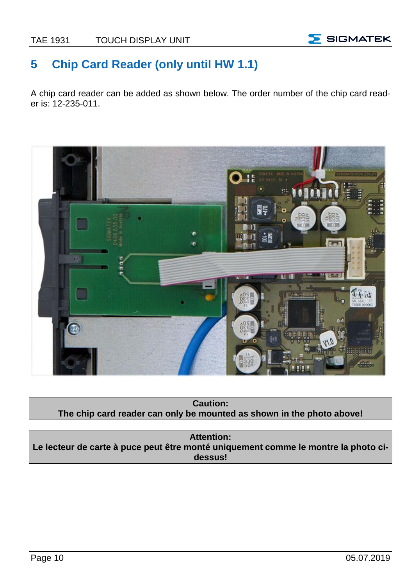

#### <span id="page-11-0"></span>**5 Chip Card Reader (only until HW 1.1)**

A chip card reader can be added as shown below. The order number of the chip card reader is: 12-235-011.



**Caution: The chip card reader can only be mounted as shown in the photo above!**

**Attention: Le lecteur de carte à puce peut être monté uniquement comme le montre la photo cidessus!**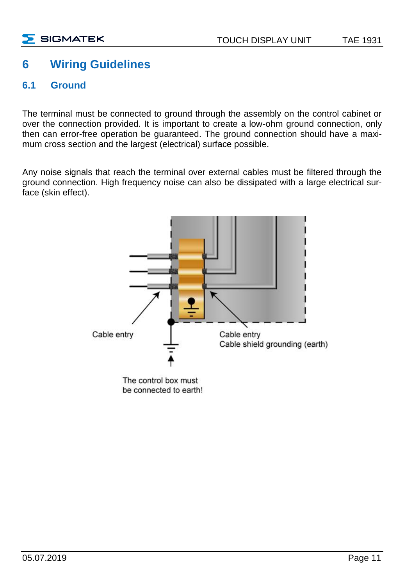#### <span id="page-12-0"></span>**6 Wiring Guidelines**

#### <span id="page-12-1"></span>**6.1 Ground**

The terminal must be connected to ground through the assembly on the control cabinet or over the connection provided. It is important to create a low-ohm ground connection, only then can error-free operation be guaranteed. The ground connection should have a maximum cross section and the largest (electrical) surface possible.

Any noise signals that reach the terminal over external cables must be filtered through the ground connection. High frequency noise can also be dissipated with a large electrical surface (skin effect).

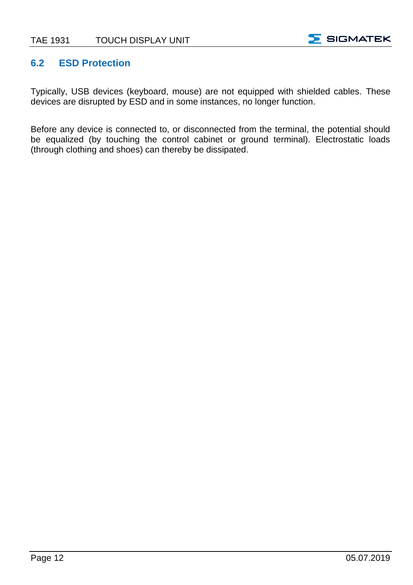

#### <span id="page-13-0"></span>**6.2 ESD Protection**

Typically, USB devices (keyboard, mouse) are not equipped with shielded cables. These devices are disrupted by ESD and in some instances, no longer function.

Before any device is connected to, or disconnected from the terminal, the potential should be equalized (by touching the control cabinet or ground terminal). Electrostatic loads (through clothing and shoes) can thereby be dissipated.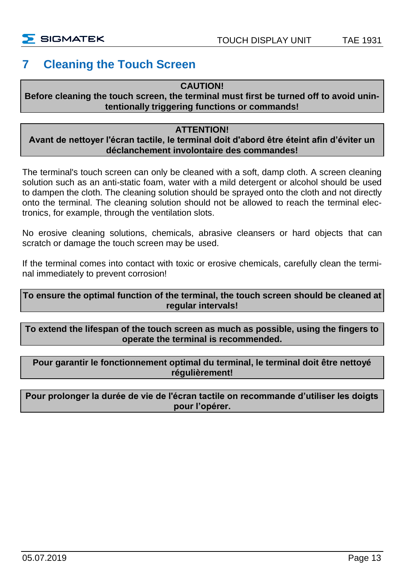#### <span id="page-14-0"></span>**7 Cleaning the Touch Screen**

#### **CAUTION!**

#### **Before cleaning the touch screen, the terminal must first be turned off to avoid unintentionally triggering functions or commands!**

#### **ATTENTION!**

#### **Avant de nettoyer l'écran tactile, le terminal doit d'abord être éteint afin d'éviter un déclanchement involontaire des commandes!**

The terminal's touch screen can only be cleaned with a soft, damp cloth. A screen cleaning solution such as an anti-static foam, water with a mild detergent or alcohol should be used to dampen the cloth. The cleaning solution should be sprayed onto the cloth and not directly onto the terminal. The cleaning solution should not be allowed to reach the terminal electronics, for example, through the ventilation slots.

No erosive cleaning solutions, chemicals, abrasive cleansers or hard objects that can scratch or damage the touch screen may be used.

If the terminal comes into contact with toxic or erosive chemicals, carefully clean the terminal immediately to prevent corrosion!

#### **To ensure the optimal function of the terminal, the touch screen should be cleaned at regular intervals!**

**To extend the lifespan of the touch screen as much as possible, using the fingers to operate the terminal is recommended.**

#### **Pour garantir le fonctionnement optimal du terminal, le terminal doit être nettoyé régulièrement!**

#### **Pour prolonger la durée de vie de l'écran tactile on recommande d'utiliser les doigts pour l'opérer.**